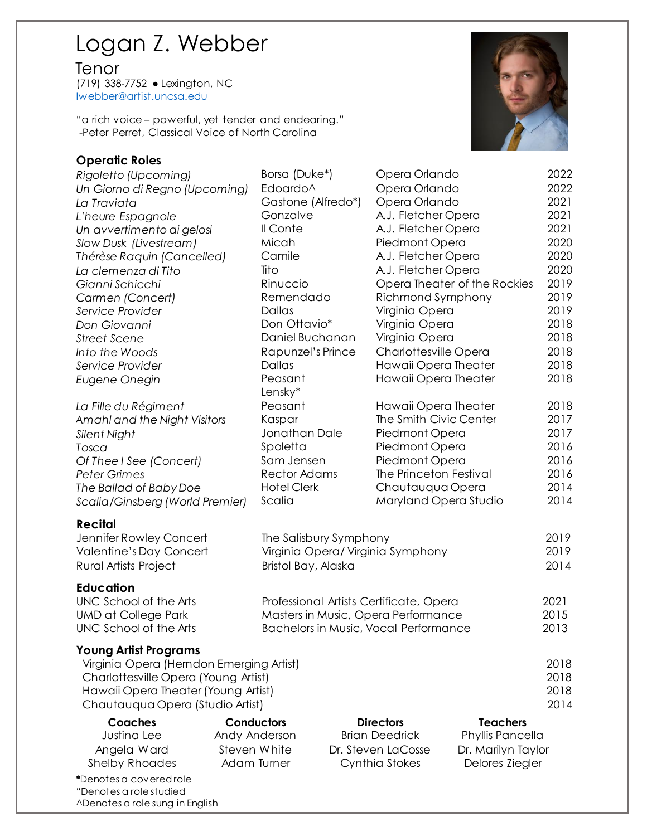# Logan Z. Webber

Tenor

(719) 338-7752 ● Lexington, NC [lwebber@artist.uncsa.edu](mailto:lwebber@artist.uncsa.edu)

"a rich voice – powerful, yet tender and endearing." -Peter Perret, Classical Voice of North Carolina

### **Operatic Roles**

*Rigoletto (Upcoming)* Borsa (Duke\*) Opera Orlando 2022 *Un Giorno di Regno (Upcoming)* Edoardo^ Opera Orlando 2022 *La Traviata* Gastone (Alfredo\*) Opera Orlando 2021 *L'heure Espagnole* Gonzalve A.J. Fletcher Opera 2021 *Un avvertimento ai gelosi* Il Conte A.J. Fletcher Opera 2021 **Street Scene Connect Scene Daniel Buchanan** 

#### **Recital**

#### **Education**

#### **Young Artist Programs**

| Coaches                                            | <b>Conductors</b> | <b>Directors</b>      | <b>Teachers</b>    |
|----------------------------------------------------|-------------------|-----------------------|--------------------|
| Justina Lee                                        | Andy Anderson     | <b>Brian Deedrick</b> | Phyllis Pancella   |
| Angela Ward                                        | Steven White      | Dr. Steven LaCosse    | Dr. Marilyn Taylor |
| <b>Shelby Rhoades</b>                              | Adam Turner       | Cynthia Stokes        | Delores Ziegler    |
| *Denotes a covered role<br>"Denotes a role studied |                   |                       |                    |
| A Denotes a role sung in English                   |                   |                       |                    |



| Slow Dusk (Livestream)                   | Micah                          | Piedmont Opera                          |                                     | 2020 |
|------------------------------------------|--------------------------------|-----------------------------------------|-------------------------------------|------|
| Thérèse Raquin (Cancelled)               | Camile                         | A.J. Fletcher Opera                     |                                     | 2020 |
| La clemenza di Tito                      | Tito                           | A.J. Fletcher Opera                     |                                     | 2020 |
| Gianni Schicchi                          | Rinuccio                       |                                         | Opera Theater of the Rockies        | 2019 |
| Carmen (Concert)                         | Remendado                      | Richmond Symphony                       |                                     | 2019 |
| Service Provider                         | <b>Dallas</b>                  | Virginia Opera                          |                                     | 2019 |
| Don Giovanni                             | Don Ottavio*                   | Virginia Opera                          |                                     | 2018 |
| <b>Street Scene</b>                      | Daniel Buchanan                | Virginia Opera                          |                                     | 2018 |
| Into the Woods                           | Rapunzel's Prince              | Charlottesville Opera                   |                                     | 2018 |
| Service Provider                         | Dallas<br>Hawaii Opera Theater |                                         |                                     | 2018 |
| Eugene Onegin                            | Peasant<br>Lensky*             | Hawaii Opera Theater                    |                                     | 2018 |
| La Fille du Régiment                     | Peasant                        | Hawaii Opera Theater                    |                                     | 2018 |
| Amahl and the Night Visitors             | Kaspar                         | The Smith Civic Center                  |                                     | 2017 |
| Silent Night                             | Jonathan Dale                  | Piedmont Opera                          |                                     | 2017 |
| Tosca                                    | Spoletta                       | Piedmont Opera                          |                                     | 2016 |
| Of Thee I See (Concert)                  | Sam Jensen                     | Piedmont Opera                          |                                     | 2016 |
| <b>Peter Grimes</b>                      | <b>Rector Adams</b>            | The Princeton Festival                  |                                     | 2016 |
| The Ballad of Baby Doe                   | <b>Hotel Clerk</b>             | Chautauqua Opera                        |                                     | 2014 |
| Scalia/Ginsberg (World Premier)          | Scalia                         |                                         | Maryland Opera Studio               | 2014 |
| <b>Recital</b>                           |                                |                                         |                                     |      |
| Jennifer Rowley Concert                  |                                | The Salisbury Symphony                  |                                     |      |
| Valentine's Day Concert                  |                                | Virginia Opera/ Virginia Symphony       |                                     |      |
| <b>Rural Artists Project</b>             | Bristol Bay, Alaska            |                                         |                                     | 2014 |
| <b>Education</b>                         |                                |                                         |                                     |      |
| UNC School of the Arts                   |                                | Professional Artists Certificate, Opera |                                     |      |
| <b>UMD at College Park</b>               |                                | Masters in Music, Opera Performance     |                                     |      |
| UNC School of the Arts                   |                                | Bachelors in Music, Vocal Performance   |                                     |      |
| <b>Young Artist Programs</b>             |                                |                                         |                                     |      |
| Virginia Opera (Herndon Emerging Artist) |                                |                                         |                                     | 2018 |
| Charlottesville Opera (Young Artist)     |                                |                                         |                                     | 2018 |
| Hawaii Opera Theater (Young Artist)      |                                |                                         |                                     | 2018 |
| Chautauqua Opera (Studio Artist)         |                                |                                         |                                     | 2014 |
| <b>Coaches</b><br>lusting Lee            | Conductors<br>Andy Anderson    | <b>Directors</b><br>Rrian Deedrick      | <b>Teachers</b><br>Phyllic Pancalla |      |
|                                          |                                |                                         |                                     |      |